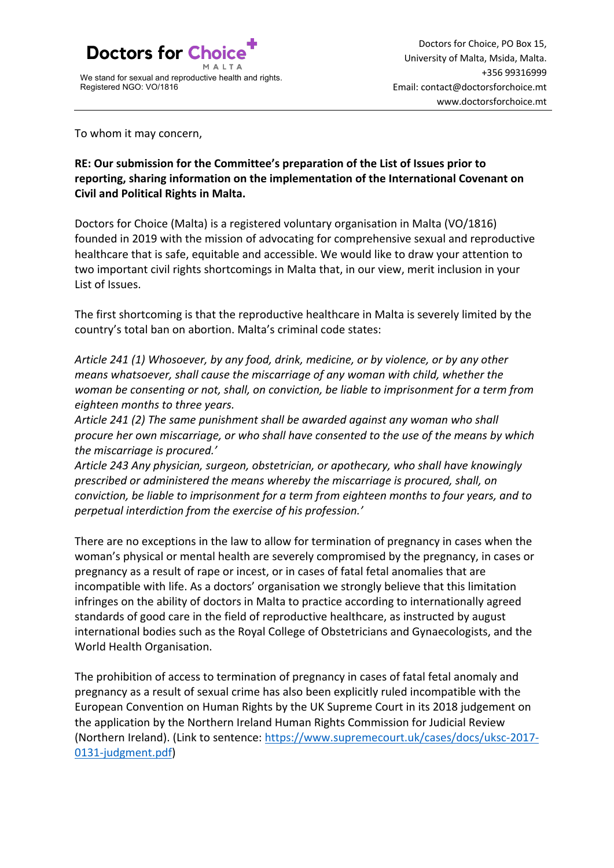

To whom it may concern,

**RE: Our submission for the Committee's preparation of the List of Issues prior to reporting, sharing information on the implementation of the International Covenant on Civil and Political Rights in Malta.**

Doctors for Choice (Malta) is a registered voluntary organisation in Malta (VO/1816) founded in 2019 with the mission of advocating for comprehensive sexual and reproductive healthcare that is safe, equitable and accessible. We would like to draw your attention to two important civil rights shortcomings in Malta that, in our view, merit inclusion in your List of Issues.

The first shortcoming is that the reproductive healthcare in Malta is severely limited by the country's total ban on abortion. Malta's criminal code states:

*Article 241 (1) Whosoever, by any food, drink, medicine, or by violence, or by any other means whatsoever, shall cause the miscarriage of any woman with child, whether the woman be consenting or not, shall, on conviction, be liable to imprisonment for a term from eighteen months to three years.*

*Article 241 (2) The same punishment shall be awarded against any woman who shall procure her own miscarriage, or who shall have consented to the use of the means by which the miscarriage is procured.'*

*Article 243 Any physician, surgeon, obstetrician, or apothecary, who shall have knowingly prescribed or administered the means whereby the miscarriage is procured, shall, on conviction, be liable to imprisonment for a term from eighteen months to four years, and to perpetual interdiction from the exercise of his profession.'*

There are no exceptions in the law to allow for termination of pregnancy in cases when the woman's physical or mental health are severely compromised by the pregnancy, in cases or pregnancy as a result of rape or incest, or in cases of fatal fetal anomalies that are incompatible with life. As a doctors' organisation we strongly believe that this limitation infringes on the ability of doctors in Malta to practice according to internationally agreed standards of good care in the field of reproductive healthcare, as instructed by august international bodies such as the Royal College of Obstetricians and Gynaecologists, and the World Health Organisation.

The prohibition of access to termination of pregnancy in cases of fatal fetal anomaly and pregnancy as a result of sexual crime has also been explicitly ruled incompatible with the European Convention on Human Rights by the UK Supreme Court in its 2018 judgement on the application by the Northern Ireland Human Rights Commission for Judicial Review (Northern Ireland). (Link to sentence: https://www.supremecourt.uk/cases/docs/uksc-2017- 0131-judgment.pdf)